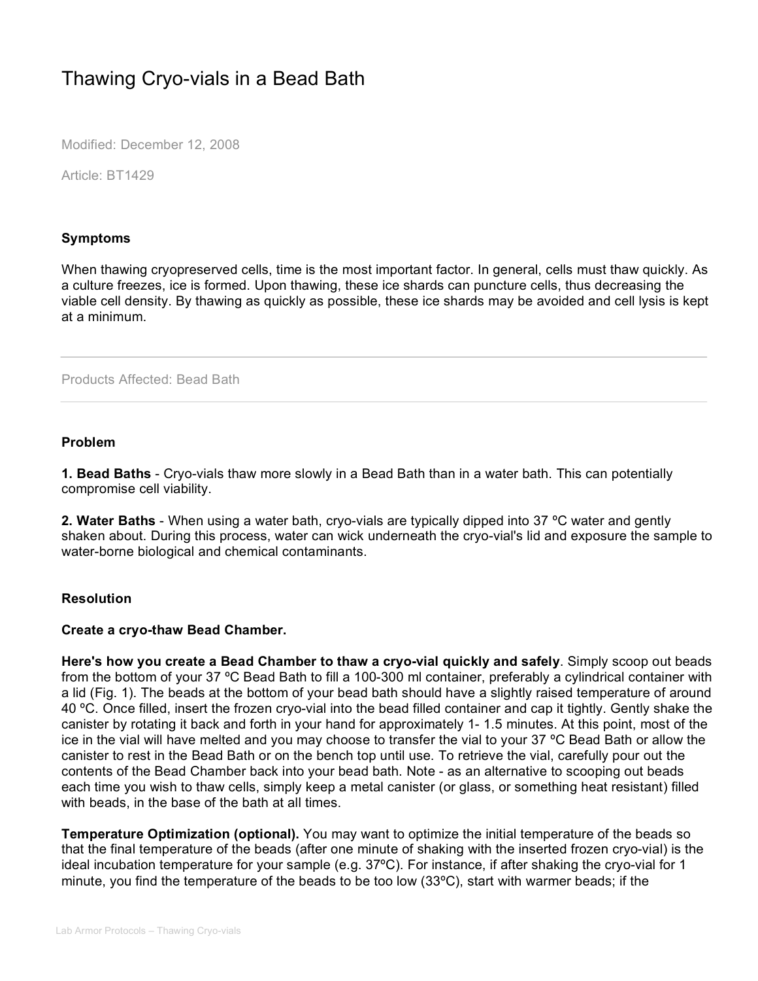# Thawing Cryo-vials in a Bead Bath

Modified: December 12, 2008

Article: BT1429

## **Symptoms**

When thawing cryopreserved cells, time is the most important factor. In general, cells must thaw quickly. As a culture freezes, ice is formed. Upon thawing, these ice shards can puncture cells, thus decreasing the viable cell density. By thawing as quickly as possible, these ice shards may be avoided and cell lysis is kept at a minimum.

Products Affected: Bead Bath

### **Problem**

**1. Bead Baths** - Cryo-vials thaw more slowly in a Bead Bath than in a water bath. This can potentially compromise cell viability.

**2. Water Baths** - When using a water bath, cryo-vials are typically dipped into 37 ºC water and gently shaken about. During this process, water can wick underneath the cryo-vial's lid and exposure the sample to water-borne biological and chemical contaminants.

## **Resolution**

## **Create a cryo-thaw Bead Chamber.**

**Here's how you create a Bead Chamber to thaw a cryo-vial quickly and safely**. Simply scoop out beads from the bottom of your 37 ºC Bead Bath to fill a 100-300 ml container, preferably a cylindrical container with a lid (Fig. 1). The beads at the bottom of your bead bath should have a slightly raised temperature of around 40 ºC. Once filled, insert the frozen cryo-vial into the bead filled container and cap it tightly. Gently shake the canister by rotating it back and forth in your hand for approximately 1- 1.5 minutes. At this point, most of the ice in the vial will have melted and you may choose to transfer the vial to your 37 ºC Bead Bath or allow the canister to rest in the Bead Bath or on the bench top until use. To retrieve the vial, carefully pour out the contents of the Bead Chamber back into your bead bath. Note - as an alternative to scooping out beads each time you wish to thaw cells, simply keep a metal canister (or glass, or something heat resistant) filled with beads, in the base of the bath at all times.

**Temperature Optimization (optional).** You may want to optimize the initial temperature of the beads so that the final temperature of the beads (after one minute of shaking with the inserted frozen cryo-vial) is the ideal incubation temperature for your sample (e.g. 37ºC). For instance, if after shaking the cryo-vial for 1 minute, you find the temperature of the beads to be too low (33ºC), start with warmer beads; if the